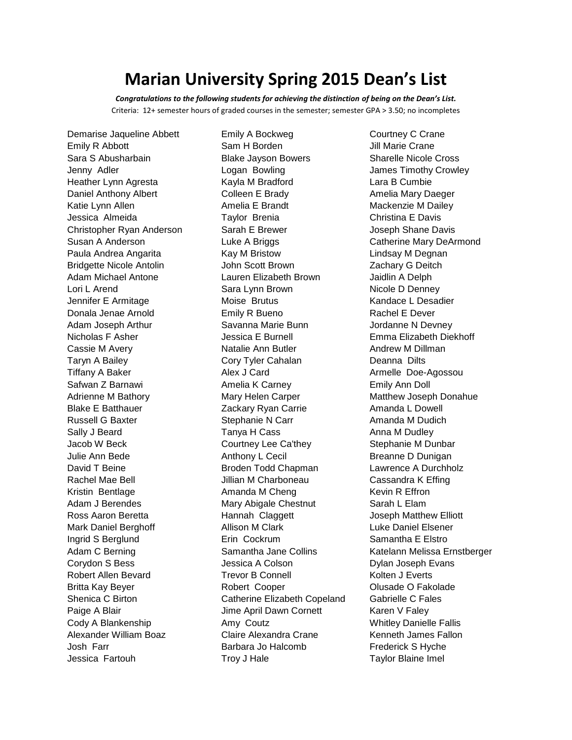## **Marian University Spring 2015 Dean's List**

*Congratulations to the following students for achieving the distinction of being on the Dean's List.* Criteria: 12+ semester hours of graded courses in the semester; semester GPA > 3.50; no incompletes

Demarise Jaqueline Abbett Emily A Bockweg Courtney C Crane Jessica Fartouh Troy J Hale Troy Trouble Taylor Blaine Imel

Emily R Abbott Sam H Borden Jill Marie Crane Sara S Abusharbain **Blake Jayson Bowers** Sharelle Nicole Cross Jenny Adler Logan Bowling James Timothy Crowley Heather Lynn Agresta Kayla M Bradford Lara B Cumbie Daniel Anthony Albert **Colleen E Brady Collegen** Colleen E Brady Amelia Mary Daeger Katie Lynn Allen Amelia E Brandt Mackenzie M Dailey Jessica Almeida Taylor Brenia Christina E Davis Christopher Ryan Anderson Sarah E Brewer Joseph Shane Davis Susan A Anderson **Cathering Catherine Mary Dearmond** Luke A Briggs **Catherine Mary DeArmond** Paula Andrea Angarita Kay M Bristow Lindsay M Degnan Bridgette Nicole Antolin **Matter Scott Brown Zachary G Deitch** Adam Michael Antone Lauren Elizabeth Brown Jaidlin A Delph Lori L Arend Sara Lynn Brown Nicole D Denney Jennifer E Armitage The Society Moise Brutus The Motor Contract Render C Desadier Donala Jenae Arnold **Emily R** Bueno **Rachel E Dever** Adam Joseph Arthur **Savanna Marie Bunn** Jordanne N Devney Nicholas F Asher Jessica E Burnell Emma Elizabeth Diekhoff Cassie M Avery **Natalie Ann Butler Natalie Ann Butler** Andrew M Dillman Taryn A Bailey **Cory Tyler Cahalan** Dilts Deanna Dilts Tiffany A Baker **Alex J Card** Armelle Doe-Agossou Safwan Z Barnawi **Amelia K Carney Communist Carney** Emily Ann Doll Adrienne M Bathory **Mary Helen Carper** Matthew Joseph Donahue Blake E Batthauer **Eine Cackary Ryan Carrie Amanda L Dowell** Russell G Baxter **Stephanie N Carr** Amanda M Dudich Sally J Beard **Tanya H Cass** Anna M Dudley Jacob W Beck Courtney Lee Ca'they Stephanie M Dunbar Julie Ann Bede **Anthony L Cecil** Breanne D Dunigan **Anthony L Cecil** David T Beine **Broden Todd Chapman** Lawrence A Durchholz Rachel Mae Bell Jillian M Charboneau Cassandra K Effing Kristin Bentlage **Amanda M Cheng Kevin R Effron** Adam J Berendes **Mary Abigale Chestnut** Sarah L Elam Ross Aaron Beretta Hannah Claggett Joseph Matthew Elliott Mark Daniel Berghoff **Allison M Clark Clark** Luke Daniel Elsener Ingrid S Berglund **Erin Cockrum** Samantha E Elstro Corydon S Bess Gold Colson Jessica A Colson Corydon Bylan Joseph Evans Robert Allen Bevard Trevor B Connell Trevor B Connell Kolten J Everts Britta Kay Beyer **Robert Cooper Robert Cooper Cooper COO**lusade O Fakolade Shenica C Birton Catherine Elizabeth Copeland Gabrielle C Fales Paige A Blair **Matter Cornett Connect Act A** Faley V Faley Cody A Blankenship Amy Coutz Whitley Danielle Fallis Alexander William Boaz Claire Alexandra Crane Kenneth James Fallon Josh Farr **Frederick S** Harbara Jo Halcomb **Frederick S** Hyche

Adam C Berning The Samantha Jane Collins The Satelann Melissa Ernstberger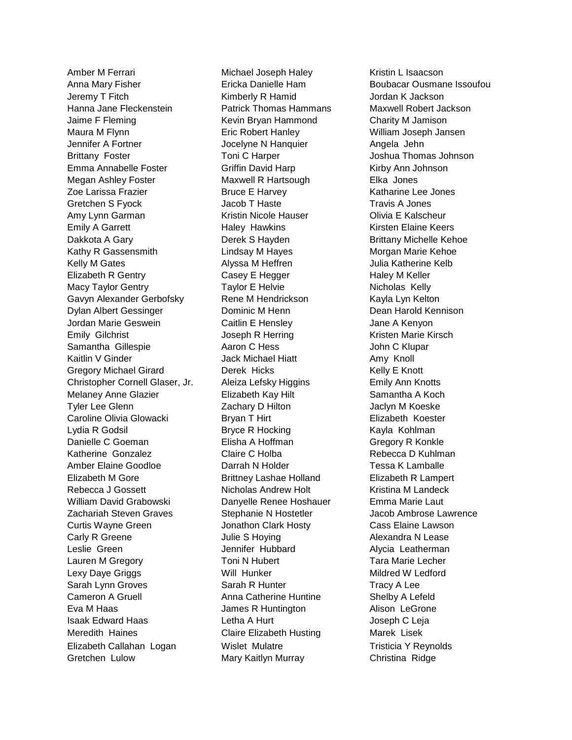Amber M Ferrari **Michael Joseph Haley** Kristin L Isaacson Anna Mary Fisher Ericka Danielle Ham Boubacar Ousmane Issoufou Jeremy T Fitch **Kimberly R Hamid** Jordan K Jackson Hanna Jane Fleckenstein Patrick Thomas Hammans Maxwell Robert Jackson Jaime F Fleming Kevin Bryan Hammond Charity M Jamison Maura M Flynn Eric Robert Hanley William Joseph Jansen Jennifer A Fortner Jocelyne N Hanquier Angela Jehn Brittany Foster The Toni C Harper The Toshua Thomas Johnson Emma Annabelle Foster **Griffin David Harp** Kirby Ann Johnson Megan Ashley Foster Maxwell R Hartsough Elka Jones Zoe Larissa Frazier **Bruce E Harvey Communist Containe** Katharine Lee Jones Gretchen S Fyock **Jacob T Haste** Travis A Jones Amy Lynn Garman **Kristin Nicole Hauser** Olivia E Kalscheur Emily A Garrett **Haley Hawkins** Kirsten Elaine Keers Dakkota A Gary **Derek S Hayden** Brittany Michelle Kehoe Kathy R Gassensmith **Lindsay M Hayes** Morgan Marie Kehoe Kelly M Gates **Alyssa M Heffren** Julia Katherine Kelb Elizabeth R Gentry **Casey E Hegger** Haley M Keller Macy Taylor Gentry **Taylor E** Helvie **Nicholas Kelly** Gavyn Alexander Gerbofsky Rene M Hendrickson Kayla Lyn Kelton Dylan Albert Gessinger **Dominic M** Henn **Dean Harold Kennison** Jordan Marie Geswein Caitlin E Hensley Jane A Kenyon Emily Gilchrist **First Constructs** Joseph R Herring **Kristen Marie Kirsch** Samantha Gillespie **Aaron C Hess** John C Klupar Kaitlin V Ginder **Matter Communist Claret Amy Knoll** Jack Michael Hiatt **Amy Knoll** Gregory Michael Girard **Derek Hicks** Creation and Kelly E Knott Christopher Cornell Glaser, Jr. Aleiza Lefsky Higgins Emily Ann Knotts Melaney Anne Glazier **Elizabeth Kay Hilt** Samantha A Koch Tyler Lee Glenn **Zachary D Hilton** Jaclyn M Koeske Caroline Olivia Glowacki **Bryan T Hirt** Elizabeth Koester Lydia R Godsil **Bryce R Hocking** Kayla Kohlman Danielle C Goeman Elisha A Hoffman Gregory R Konkle Katherine Gonzalez **Claire C Holba** Rebecca D Kuhlman Amber Elaine Goodloe **Darrah N Holder** Tessa K Lamballe Elizabeth M Gore Brittney Lashae Holland Elizabeth R Lampert Rebecca J Gossett **Nicholas Andrew Holt** Kristina M Landeck William David Grabowski **Danyelle Renee Hoshauer** Emma Marie Laut Zachariah Steven Graves Stephanie N Hostetler Jacob Ambrose Lawrence Curtis Wayne Green Jonathon Clark Hosty Cass Elaine Lawson Carly R Greene **Carly R** Greene **Alexandra N** Lease Julie S Hoying **Alexandra N** Lease Leslie Green **Matter Commence** Jennifer Hubbard **Alycia Leatherman** Lauren M Gregory **Toni N** Hubert **Tara Marie Lecher** Tara Marie Lecher Lexy Daye Griggs **Mill Hunker** Mill Hunker Mildred W Ledford Sarah Lynn Groves **Sarah R Hunter** Tracy A Lee Cameron A Gruell Anna Catherine Huntine Shelby A Lefeld Eva M Haas **Franklington** Huntington **Alison LeGrone** Isaak Edward Haas Letha A Hurt Joseph C Leja Meredith Haines **Claire Elizabeth Husting** Marek Lisek Elizabeth Callahan Logan Wislet Mulatre Tristicia Y Reynolds Gretchen Lulow Mary Kaitlyn Murray Christina Ridge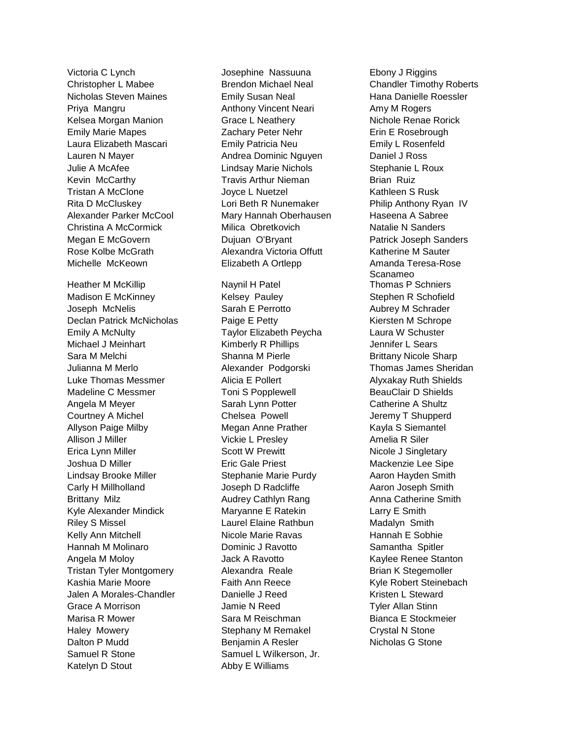Victoria C Lynch **Victoria C Lynch** Josephine Nassuuna **Ebony J Riggins** Christopher L Mabee Brendon Michael Neal Chandler Timothy Roberts Nicholas Steven Maines **Emily Susan Neal** Hana Danielle Roessler Priya Mangru **Anthony Vincent Neari** Amy M Rogers Kelsea Morgan Manion **Grace L Neathery Communist Critics** Nichole Renae Rorick Emily Marie Mapes **Election 2** Zachary Peter Nehr **Example 2** Erin E Rosebrough Laura Elizabeth Mascari Emily Patricia Neu Emily L Rosenfeld Lauren N Mayer Andrea Dominic Nguyen Daniel J Ross Julie A McAfee Lindsay Marie Nichols Stephanie L Roux Kevin McCarthy **Travis Arthur Nieman** Brian Ruiz Tristan A McClone Joyce L Nuetzel Kathleen S Rusk Rita D McCluskey **Lori Beth R Nunemaker** Philip Anthony Ryan IV Alexander Parker McCool Mary Hannah Oberhausen Haseena A Sabree Christina A McCormick **Milica Obretkovich** Natalie N Sanders Megan E McGovern Dujuan O'Bryant Patrick Joseph Sanders Rose Kolbe McGrath **Alexandra Victoria Offutt** Katherine M Sauter Michelle McKeown **Elizabeth A Ortlepp Amanda Teresa-Rose** Heather M McKillip **Naynil H Patel Thomas P Schniers Naynil H Patel** Thomas P Schniers Madison E McKinney **Kelsey Pauley Stephen R Schofield** Joseph McNelis Sarah E Perrotto Aubrey M Schrader Declan Patrick McNicholas Paige E Petty **Paige H** Kiersten M Schrope Emily A McNulty Taylor Elizabeth Peycha Laura W Schuster Michael J Meinhart **Kimberly R Phillips** Jennifer L Sears Sara M Melchi **Shanna M Pierle** Brittany Nicole Sharp Julianna M Merlo Alexander Podgorski Thomas James Sheridan Luke Thomas Messmer **Alicia E Pollert** Alyxakay Ruth Shields Madeline C Messmer Toni S Popplewell **BeauClair D Shields** Angela M Meyer **Sarah Lynn Potter** Catherine A Shultz Courtney A Michel **Chelsea Powell** Courtney A Michel Allyson Paige Milby **Megan Anne Prather** Kayla S Siemantel Allison J Miller **Allison J Miller** Amelia R Siler **Amelia R** Siler Erica Lynn Miller **Scott W Prewitt** Nicole J Singletary **Nicole 3** Singletary Joshua D Miller Eric Gale Priest Mackenzie Lee Sipe Lindsay Brooke Miller Stephanie Marie Purdy Aaron Hayden Smith Carly H Millholland **Internal Seph D Radcliffe** Aaron Joseph Smith Brittany Milz **Audrey Cathlyn Rang Anna Catherine Smith** Brittany Milz Kyle Alexander Mindick Maryanne E Ratekin Larry E Smith Riley S Missel Laurel Elaine Rathbun Madalyn Smith Kelly Ann Mitchell **Nicole Marie Ravas** Hannah E Sobhie Hannah M Molinaro Dominic J Ravotto Samantha Spitler Angela M Moloy **All Ack A Ravotto** Manuel A Ravotto Kaylee Renee Stanton Tristan Tyler Montgomery **Alexandra Reale** Brian K Stegemoller

Kashia Marie Moore **Faith Ann Reece** Kyle Robert Steinebach Jalen A Morales-Chandler **Danielle J Reed** Kristen L Steward Grace A Morrison **Camelace A Morrison** Jamie N Reed Tyler Allan Stinn Marisa R Mower Sara M Reischman Bianca E Stockmeier Haley Mowery **Stephany M Remakel Crystal N Stone** Dalton P Mudd **Benjamin A Resler** Nicholas G Stone Samuel R Stone Samuel L Wilkerson, Jr. Katelyn D Stout **Abby E Williams** 

Scanameo